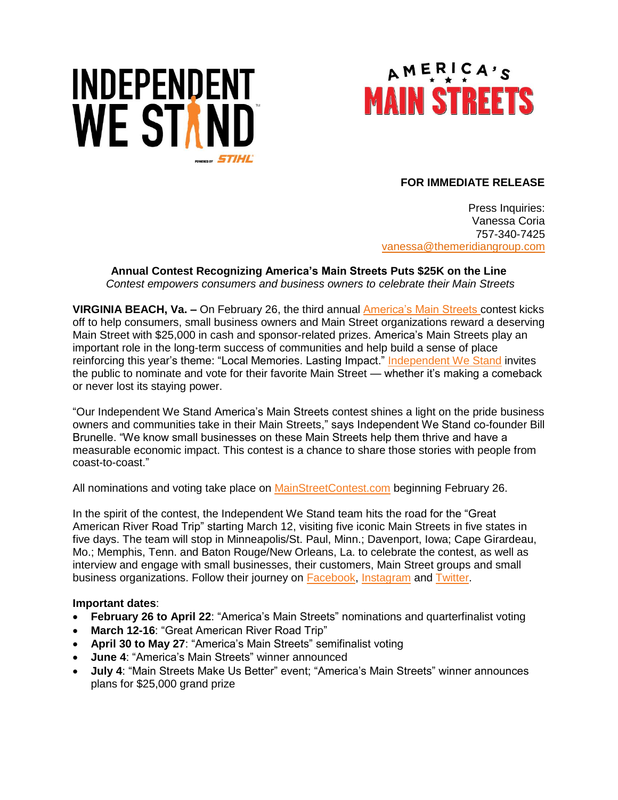# INDEPENDENT **WE STAND**



## **FOR IMMEDIATE RELEASE**

Press Inquiries: Vanessa Coria 757-340-7425 vanessa[@themeridiangroup.](mailto:vanessa@themeridiangroup.com)com

**Annual Contest Recognizing America's Main Streets Puts \$25K on the Line** *Contest empowers consumers and business owners to celebrate their Main Streets*

**VIRGINIA BEACH, Va. –** On February 26, the third annual [America's Main Streets](http://www.mainstreetcontest.com/) contest kicks off to help consumers, small business owners and Main Street organizations reward a deserving Main Street with \$25,000 in cash and sponsor-related prizes. America's Main Streets play an important role in the long-term success of communities and help build a sense of place reinforcing this year's theme: "Local Memories. Lasting Impact." [Independent We Stand](http://www.independentwestand.org/learn-more/about/) invites the public to nominate and vote for their favorite Main Street — whether it's making a comeback or never lost its staying power.

"Our Independent We Stand America's Main Streets contest shines a light on the pride business owners and communities take in their Main Streets," says Independent We Stand co-founder Bill Brunelle. "We know small businesses on these Main Streets help them thrive and have a measurable economic impact. This contest is a chance to share those stories with people from coast-to-coast."

All nominations and voting take place on **MainStreetContest.com** beginning February 26.

In the spirit of the contest, the Independent We Stand team hits the road for the "Great American River Road Trip" starting March 12, visiting five iconic Main Streets in five states in five days. The team will stop in Minneapolis/St. Paul, Minn.; Davenport, Iowa; Cape Girardeau, Mo.; Memphis, Tenn. and Baton Rouge/New Orleans, La. to celebrate the contest, as well as interview and engage with small businesses, their customers, Main Street groups and small business organizations. Follow their journey on [Facebook,](https://www.facebook.com/independentwestand/?fref=ts) [Instagram](https://www.instagram.com/independent_we_stand/) and [Twitter.](https://twitter.com/IndWeStand)

### **Important dates**:

- **February 26 to April 22**: "America's Main Streets" nominations and quarterfinalist voting
- **March 12-16**: "Great American River Road Trip"
- **April 30 to May 27**: "America's Main Streets" semifinalist voting
- **June 4**: "America's Main Streets" winner announced
- **July 4**: "Main Streets Make Us Better" event; "America's Main Streets" winner announces plans for \$25,000 grand prize